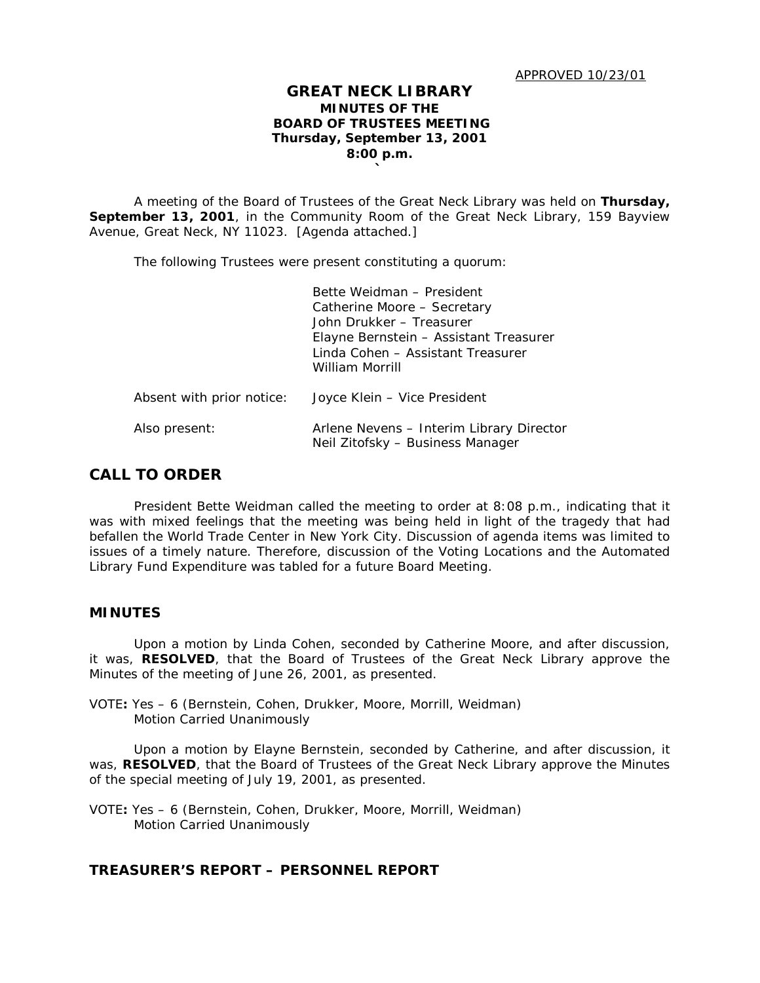## **GREAT NECK LIBRARY MINUTES OF THE BOARD OF TRUSTEES MEETING Thursday, September 13, 2001 8:00 p.m. `**

A meeting of the Board of Trustees of the Great Neck Library was held on **Thursday, September 13, 2001**, in the Community Room of the Great Neck Library, 159 Bayview Avenue, Great Neck, NY 11023. [Agenda attached.]

The following Trustees were present constituting a quorum:

|                           | Bette Weidman - President<br>Catherine Moore - Secretary<br>John Drukker - Treasurer<br>Elayne Bernstein – Assistant Treasurer<br>Linda Cohen - Assistant Treasurer<br>William Morrill |
|---------------------------|----------------------------------------------------------------------------------------------------------------------------------------------------------------------------------------|
| Absent with prior notice: | Joyce Klein – Vice President                                                                                                                                                           |
| Also present:             | Arlene Nevens – Interim Library Director<br>Neil Zitofsky - Business Manager                                                                                                           |

# **CALL TO ORDER**

President Bette Weidman called the meeting to order at 8:08 p.m., indicating that it was with mixed feelings that the meeting was being held in light of the tragedy that had befallen the World Trade Center in New York City. Discussion of agenda items was limited to issues of a timely nature. Therefore, discussion of the Voting Locations and the Automated Library Fund Expenditure was tabled for a future Board Meeting.

#### **MINUTES**

Upon a motion by Linda Cohen, seconded by Catherine Moore, and after discussion, it was, **RESOLVED**, that the Board of Trustees of the Great Neck Library approve the Minutes of the meeting of June 26, 2001, as presented.

VOTE**:** Yes – 6 (Bernstein, Cohen, Drukker, Moore, Morrill, Weidman) *Motion Carried Unanimously*

Upon a motion by Elayne Bernstein, seconded by Catherine, and after discussion, it was, **RESOLVED**, that the Board of Trustees of the Great Neck Library approve the Minutes of the special meeting of July 19, 2001, as presented.

VOTE**:** Yes – 6 (Bernstein, Cohen, Drukker, Moore, Morrill, Weidman) *Motion Carried Unanimously*

# **TREASURER'S REPORT – PERSONNEL REPORT**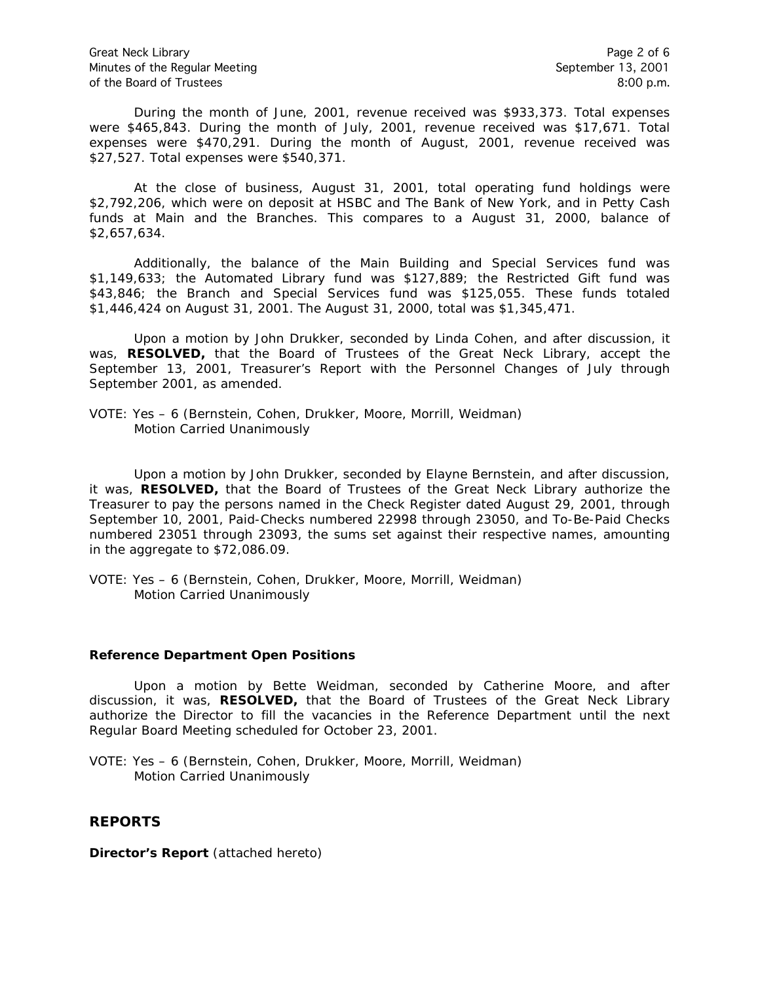During the month of June, 2001, revenue received was \$933,373. Total expenses were \$465,843. During the month of July, 2001, revenue received was \$17,671. Total expenses were \$470,291. During the month of August, 2001, revenue received was \$27,527. Total expenses were \$540,371.

At the close of business, August 31, 2001, total operating fund holdings were \$2,792,206, which were on deposit at HSBC and The Bank of New York, and in Petty Cash funds at Main and the Branches. This compares to a August 31, 2000, balance of \$2,657,634.

Additionally, the balance of the Main Building and Special Services fund was \$1,149,633; the Automated Library fund was \$127,889; the Restricted Gift fund was \$43,846; the Branch and Special Services fund was \$125,055. These funds totaled \$1,446,424 on August 31, 2001. The August 31, 2000, total was \$1,345,471.

Upon a motion by John Drukker, seconded by Linda Cohen, and after discussion, it was, **RESOLVED,** that the Board of Trustees of the Great Neck Library, accept the September 13, 2001, Treasurer's Report with the Personnel Changes of July through September 2001, as amended.

VOTE: Yes – 6 (Bernstein, Cohen, Drukker, Moore, Morrill, Weidman) *Motion Carried Unanimously*

Upon a motion by John Drukker, seconded by Elayne Bernstein, and after discussion, it was, **RESOLVED,** that the Board of Trustees of the Great Neck Library authorize the Treasurer to pay the persons named in the Check Register dated August 29, 2001, through September 10, 2001, Paid-Checks numbered 22998 through 23050, and To-Be-Paid Checks numbered 23051 through 23093, the sums set against their respective names, amounting in the aggregate to \$72,086.09.

VOTE: Yes – 6 (Bernstein, Cohen, Drukker, Moore, Morrill, Weidman) *Motion Carried Unanimously*

## **Reference Department Open Positions**

Upon a motion by Bette Weidman, seconded by Catherine Moore, and after discussion, it was, **RESOLVED,** that the Board of Trustees of the Great Neck Library authorize the Director to fill the vacancies in the Reference Department until the next Regular Board Meeting scheduled for October 23, 2001.

VOTE: Yes – 6 (Bernstein, Cohen, Drukker, Moore, Morrill, Weidman) *Motion Carried Unanimously*

# **REPORTS**

**Director's Report** (attached hereto)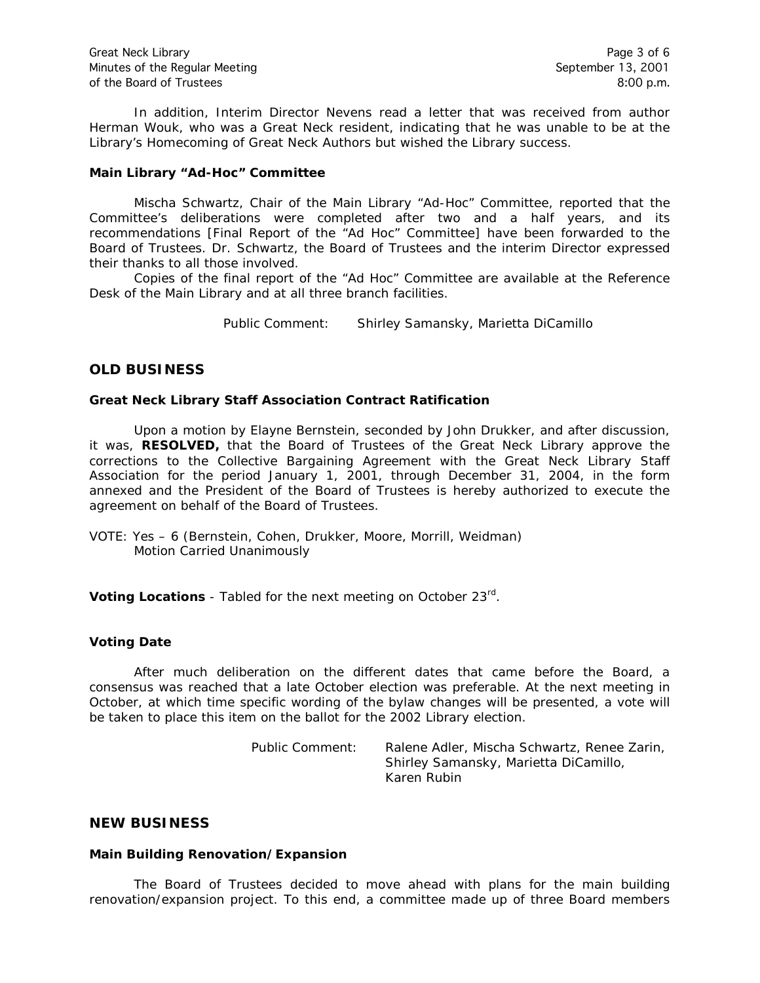In addition, Interim Director Nevens read a letter that was received from author Herman Wouk, who was a Great Neck resident, indicating that he was unable to be at the Library's Homecoming of Great Neck Authors but wished the Library success.

#### **Main Library "Ad-Hoc" Committee**

Mischa Schwartz, Chair of the Main Library "Ad-Hoc" Committee, reported that the Committee's deliberations were completed after two and a half years, and its recommendations [Final Report of the "Ad Hoc" Committee] have been forwarded to the Board of Trustees. Dr. Schwartz, the Board of Trustees and the interim Director expressed their thanks to all those involved.

Copies of the final report of the "Ad Hoc" Committee are available at the Reference Desk of the Main Library and at all three branch facilities.

Public Comment: Shirley Samansky, Marietta DiCamillo

# **OLD BUSINESS**

#### **Great Neck Library Staff Association Contract Ratification**

Upon a motion by Elayne Bernstein, seconded by John Drukker, and after discussion, it was, **RESOLVED,** that the Board of Trustees of the Great Neck Library approve the corrections to the Collective Bargaining Agreement with the Great Neck Library Staff Association for the period January 1, 2001, through December 31, 2004, in the form annexed and the President of the Board of Trustees is hereby authorized to execute the agreement on behalf of the Board of Trustees.

VOTE: Yes – 6 (Bernstein, Cohen, Drukker, Moore, Morrill, Weidman) *Motion Carried Unanimously*

**Voting Locations** - Tabled for the next meeting on October 23rd.

## **Voting Date**

After much deliberation on the different dates that came before the Board, a consensus was reached that a late October election was preferable. At the next meeting in October, at which time specific wording of the bylaw changes will be presented, a vote will be taken to place this item on the ballot for the 2002 Library election.

> Public Comment: Ralene Adler, Mischa Schwartz, Renee Zarin, Shirley Samansky, Marietta DiCamillo, Karen Rubin

## **NEW BUSINESS**

#### **Main Building Renovation/Expansion**

The Board of Trustees decided to move ahead with plans for the main building renovation/expansion project. To this end, a committee made up of three Board members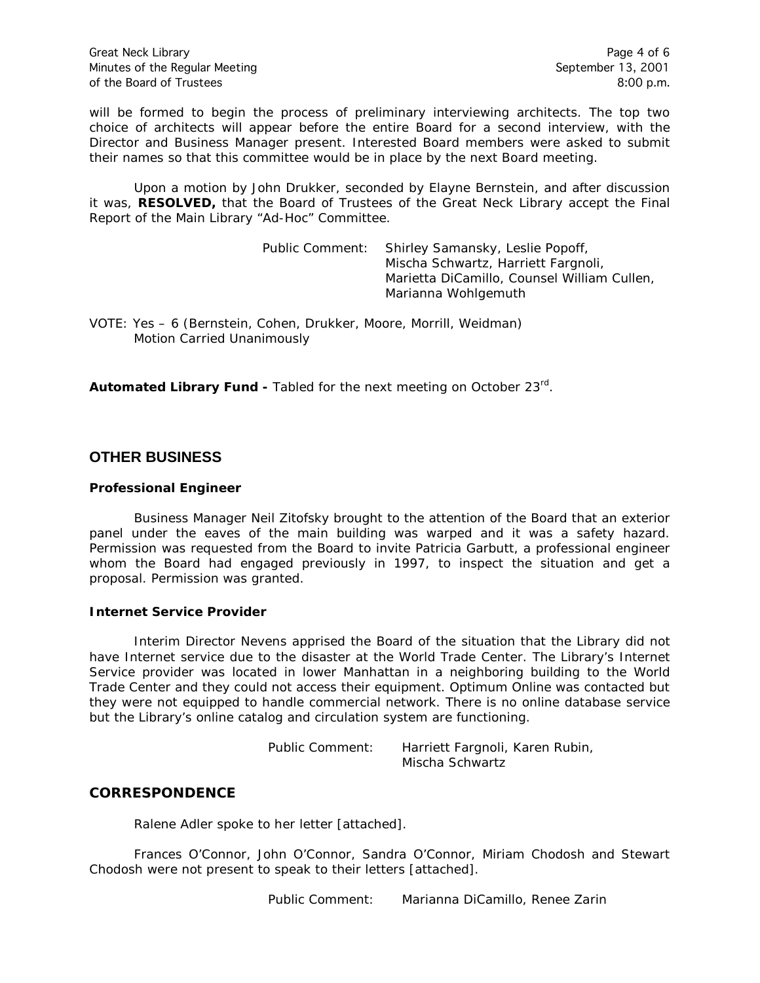will be formed to begin the process of preliminary interviewing architects. The top two choice of architects will appear before the entire Board for a second interview, with the Director and Business Manager present. Interested Board members were asked to submit their names so that this committee would be in place by the next Board meeting.

Upon a motion by John Drukker, seconded by Elayne Bernstein, and after discussion it was, **RESOLVED,** that the Board of Trustees of the Great Neck Library accept the Final Report of the Main Library "Ad-Hoc" Committee.

> Public Comment: Shirley Samansky, Leslie Popoff, Mischa Schwartz, Harriett Fargnoli, Marietta DiCamillo, Counsel William Cullen, Marianna Wohlgemuth

VOTE: Yes – 6 (Bernstein, Cohen, Drukker, Moore, Morrill, Weidman) *Motion Carried Unanimously*

**Automated Library Fund -** Tabled for the next meeting on October 23rd.

# **OTHER BUSINESS**

#### **Professional Engineer**

Business Manager Neil Zitofsky brought to the attention of the Board that an exterior panel under the eaves of the main building was warped and it was a safety hazard. Permission was requested from the Board to invite Patricia Garbutt, a professional engineer whom the Board had engaged previously in 1997, to inspect the situation and get a proposal. Permission was granted.

#### **Internet Service Provider**

Interim Director Nevens apprised the Board of the situation that the Library did not have Internet service due to the disaster at the World Trade Center. The Library's Internet Service provider was located in lower Manhattan in a neighboring building to the World Trade Center and they could not access their equipment. Optimum Online was contacted but they were not equipped to handle commercial network. There is no online database service but the Library's online catalog and circulation system are functioning.

> Public Comment: Harriett Fargnoli, Karen Rubin, Mischa Schwartz

# **CORRESPONDENCE**

Ralene Adler spoke to her letter [attached].

Frances O'Connor, John O'Connor, Sandra O'Connor, Miriam Chodosh and Stewart Chodosh were not present to speak to their letters [attached].

Public Comment: Marianna DiCamillo, Renee Zarin